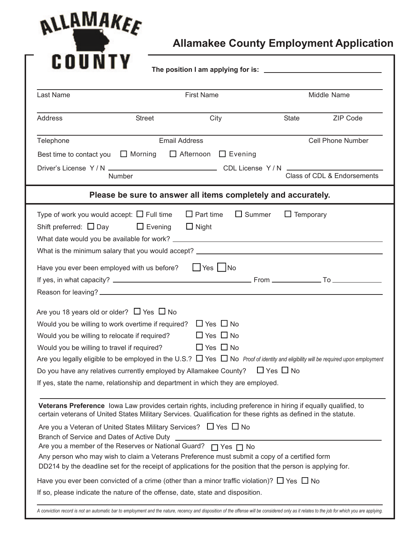

**Allamakee County Employment Application**

|                                                                                                                                                                                                           |                | <b>First Name</b>                                                                                                                                                                                                                                                                                              |                  | Middle Name                 |  |  |
|-----------------------------------------------------------------------------------------------------------------------------------------------------------------------------------------------------------|----------------|----------------------------------------------------------------------------------------------------------------------------------------------------------------------------------------------------------------------------------------------------------------------------------------------------------------|------------------|-----------------------------|--|--|
| Address                                                                                                                                                                                                   | <b>Street</b>  | City                                                                                                                                                                                                                                                                                                           | State            | ZIP Code                    |  |  |
| Telephone                                                                                                                                                                                                 |                | <b>Email Address</b>                                                                                                                                                                                                                                                                                           |                  | <b>Cell Phone Number</b>    |  |  |
| Best time to contact you                                                                                                                                                                                  | $\Box$ Morning | $\Box$ Afternoon<br>$\Box$ Evening                                                                                                                                                                                                                                                                             |                  |                             |  |  |
|                                                                                                                                                                                                           | Number         |                                                                                                                                                                                                                                                                                                                |                  | Class of CDL & Endorsements |  |  |
|                                                                                                                                                                                                           |                | Please be sure to answer all items completely and accurately.                                                                                                                                                                                                                                                  |                  |                             |  |  |
| Type of work you would accept: $\Box$ Full time<br>Shift preferred: $\Box$ Day $\Box$ Evening                                                                                                             |                | $\Box$ Part time<br>$\Box$ Summer<br>$\Box$ Night                                                                                                                                                                                                                                                              | $\Box$ Temporary |                             |  |  |
| Have you ever been employed with us before?                                                                                                                                                               |                | $\Box$ Yes $\Box$ No                                                                                                                                                                                                                                                                                           |                  |                             |  |  |
| Are you 18 years old or older? $\Box$ Yes $\Box$ No<br>Would you be willing to work overtime if required?<br>Would you be willing to relocate if required?<br>Would you be willing to travel if required? |                | $\Box$ Yes $\Box$ No<br>$\Box$ Yes $\Box$ No<br>$\Box$ Yes $\Box$ No<br>Are you legally eligible to be employed in the U.S.? $\Box$ Yes $\Box$ No Proof of identity and eligibility will be required upon employment<br>Do you have any relatives currently employed by Allamakee County? $\Box$ Yes $\Box$ No |                  |                             |  |  |
| If yes, state the name, relationship and department in which they are employed.                                                                                                                           |                |                                                                                                                                                                                                                                                                                                                |                  |                             |  |  |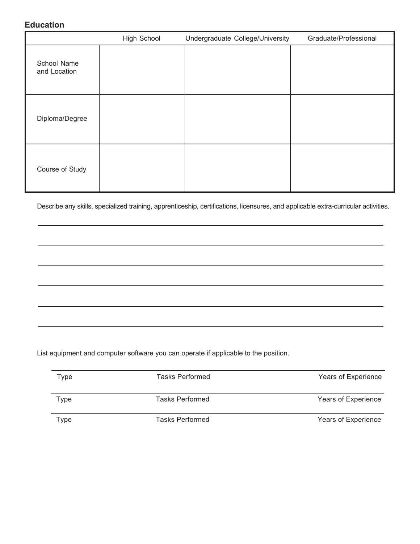### **Education**

|                             | <b>High School</b> | Undergraduate College/University | Graduate/Professional |
|-----------------------------|--------------------|----------------------------------|-----------------------|
| School Name<br>and Location |                    |                                  |                       |
| Diploma/Degree              |                    |                                  |                       |
| Course of Study             |                    |                                  |                       |

Describe any skills, specialized training, apprenticeship, certifications, licensures, and applicable extra-curricular activities.

List equipment and computer software you can operate if applicable to the position.

| Type | <b>Tasks Performed</b> | Years of Experience |
|------|------------------------|---------------------|
| Type | <b>Tasks Performed</b> | Years of Experience |
| Type | <b>Tasks Performed</b> | Years of Experience |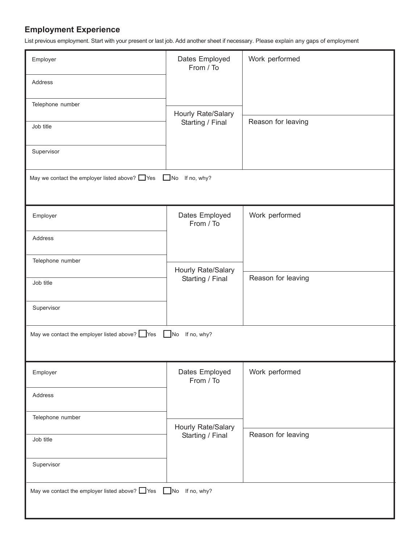## **Employment Experience**

List previous employment. Start with your present or last job. Add another sheet if necessary. Please explain any gaps of employment

| Employer                                                                   | Dates Employed<br>From / To   | Work performed     |  |  |
|----------------------------------------------------------------------------|-------------------------------|--------------------|--|--|
| Address                                                                    |                               |                    |  |  |
| Telephone number                                                           | Hourly Rate/Salary            |                    |  |  |
| Job title                                                                  | Starting / Final              | Reason for leaving |  |  |
| Supervisor                                                                 |                               |                    |  |  |
| May we contact the employer listed above? $\Box$ Yes $\Box$ No If no, why? |                               |                    |  |  |
|                                                                            |                               |                    |  |  |
| Employer                                                                   | Dates Employed<br>From / To   | Work performed     |  |  |
| Address                                                                    |                               |                    |  |  |
| Telephone number                                                           | Hourly Rate/Salary            |                    |  |  |
| Job title                                                                  | Starting / Final              | Reason for leaving |  |  |
| Supervisor                                                                 |                               |                    |  |  |
| May we contact the employer listed above? Yes                              | If no, why?<br>N <sub>O</sub> |                    |  |  |
|                                                                            |                               |                    |  |  |
| Employer                                                                   | Dates Employed<br>From / To   | Work performed     |  |  |
| Address                                                                    |                               |                    |  |  |
| Telephone number                                                           | Hourly Rate/Salary            |                    |  |  |
| Job title                                                                  | Starting / Final              | Reason for leaving |  |  |
| Supervisor                                                                 |                               |                    |  |  |
| May we contact the employer listed above? $\Box$ Yes $\Box$ No If no, why? |                               |                    |  |  |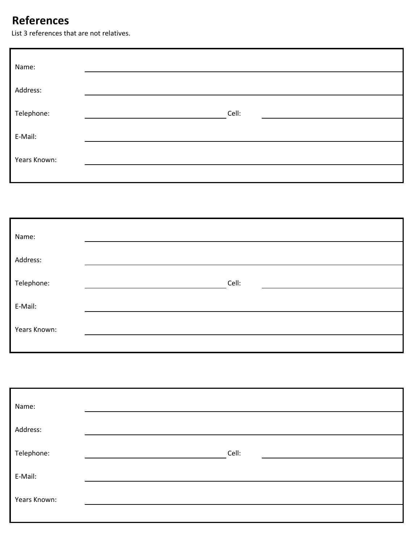# **References**

List 3 references that are not relatives.

| Name:        |       |  |
|--------------|-------|--|
| Address:     |       |  |
| Telephone:   | Cell: |  |
| E-Mail:      |       |  |
| Years Known: |       |  |
|              |       |  |

| Name:        |       |
|--------------|-------|
| Address:     |       |
| Telephone:   | Cell: |
| E-Mail:      |       |
| Years Known: |       |
|              |       |

| Name:        |       |
|--------------|-------|
| Address:     |       |
| Telephone:   | Cell: |
| E-Mail:      |       |
| Years Known: |       |
|              |       |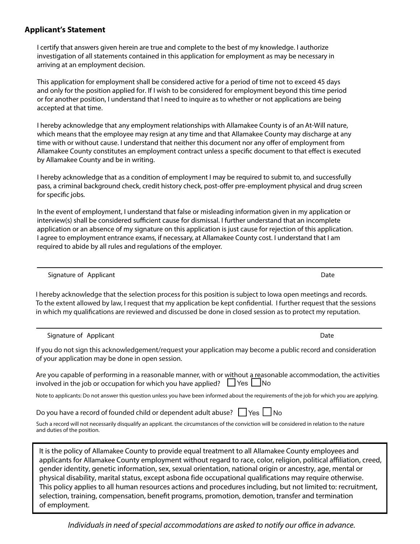### **Applicant's Statement**

I certify that answers given herein are true and complete to the best of my knowledge. I authorize investigation of all statements contained in this application for employment as may be necessary in arriving at an employment decision.

This application for employment shall be considered active for a period of time not to exceed 45 days and only for the position applied for. If I wish to be considered for employment beyond this time period or for another position, I understand that I need to inquire as to whether or not applications are being accepted at that time.

I hereby acknowledge that any employment relationships with Allamakee County is of an At-Will nature, which means that the employee may resign at any time and that Allamakee County may discharge at any time with or without cause. I understand that neither this document nor any offer of employment from Allamakee County constitutes an employment contract unless a specific document to that effect is executed by Allamakee County and be in writing.

I hereby acknowledge that as a condition of employment I may be required to submit to, and successfully pass, a criminal background check, credit history check, post-offer pre-employment physical and drug screen for specific jobs.

In the event of employment, I understand that false or misleading information given in my application or interview(s) shall be considered sufficient cause for dismissal. I further understand that an incomplete application or an absence of my signature on this application is just cause for rejection of this application. I agree to employment entrance exams, if necessary, at Allamakee County cost. I understand that I am required to abide by all rules and regulations of the employer.

Signature of Applicant Date of Applicant Date of Applicant Date of Applicant Date of Applicant Date of Applicant Date of Applicant Date of Applicant Date of Applicant Date of Applicant Date of Applicant Date of Applicant D

I hereby acknowledge that the selection process for this position is subject to Iowa open meetings and records. To the extent allowed by law, I request that my application be kept condential. I further request that the sessions in which my qualifications are reviewed and discussed be done in closed session as to protect my reputation.

Signature of Applicant **Date of Applicant** Date of Applicant Date of Applicant Date of Applicant Date of Applicant

If you do not sign this acknowledgement/request your application may become a public record and consideration of your application may be done in open session.

| Are you capable of performing in a reasonable manner, with or without a reasonable accommodation, the activities |  |
|------------------------------------------------------------------------------------------------------------------|--|
| 'nvolved in the job or occupation for which you have applied? $\Box$ Yes $\Box$ No                               |  |

Note to applicants: Do not answer this question unless you have been informed about the requirements of the job for which you are applying.

Do you have a record of founded child or dependent adult abuse? |Yes || No

Such a record will not necessarily disqualify an applicant. the circumstances of the conviction will be considered in relation to the nature and duties of the position.

It is the policy of Allamakee County to provide equal treatment to all Allamakee County employees and applicants for Allamakee County employment without regard to race, color, religion, political affiliation, creed, gender identity, genetic information, sex, sexual orientation, national origin or ancestry, age, mental or physical disability, marital status, except asbona fide occupational qualifications may require otherwise. This policy applies to all human resources actions and procedures including, but not limited to: recruitment, selection, training, compensation, benefit programs, promotion, demotion, transfer and termination of employment.

*Individuals in need of special accommodations are asked to notify our office in advance.*